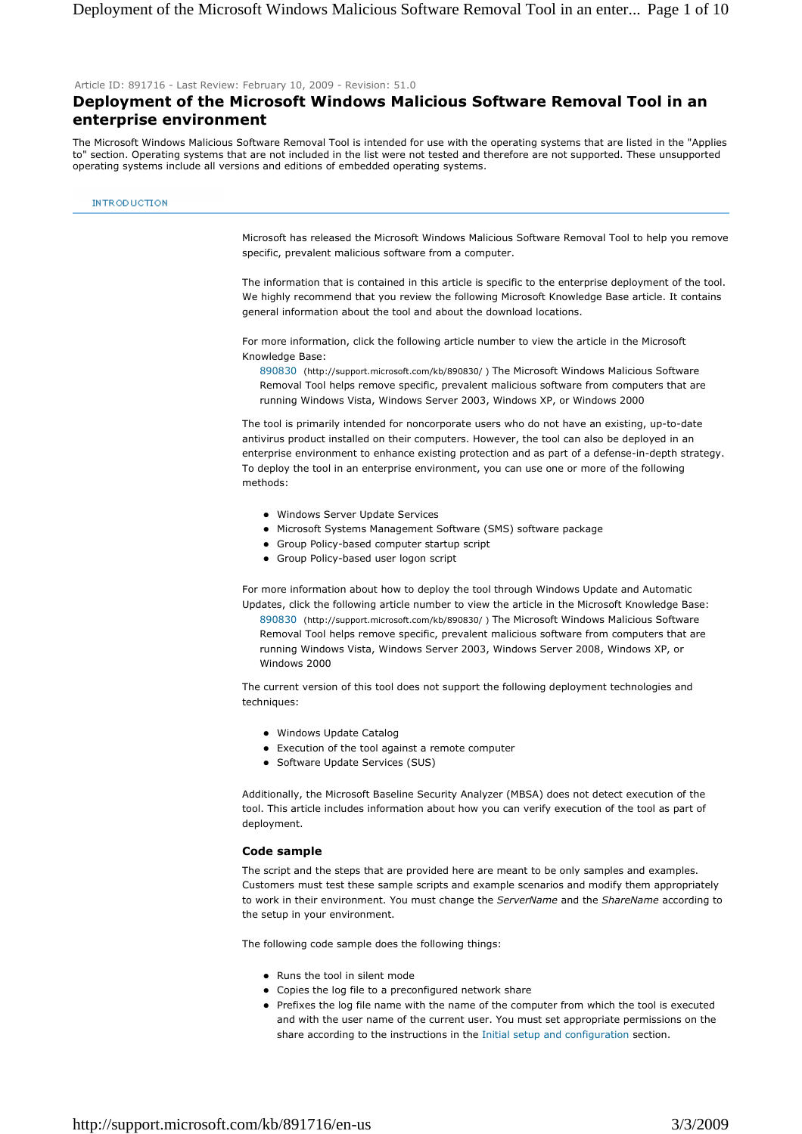Article ID: 891716 - Last Review: February 10, 2009 - Revision: 51.0

# **Deployment of the Microsoft Windows Malicious Software Removal Tool in an enterprise environment**

The Microsoft Windows Malicious Software Removal Tool is intended for use with the operating systems that are listed in the "Applies to" section. Operating systems that are not included in the list were not tested and therefore are not supported. These unsupported operating systems include all versions and editions of embedded operating systems.

#### **INTRODUCTION**

Microsoft has released the Microsoft Windows Malicious Software Removal Tool to help you remove specific, prevalent malicious software from a computer.

The information that is contained in this article is specific to the enterprise deployment of the tool. We highly recommend that you review the following Microsoft Knowledge Base article. It contains general information about the tool and about the download locations.

For more information, click the following article number to view the article in the Microsoft Knowledge Base:

890830 (http://support.microsoft.com/kb/890830/ ) The Microsoft Windows Malicious Software Removal Tool helps remove specific, prevalent malicious software from computers that are running Windows Vista, Windows Server 2003, Windows XP, or Windows 2000

The tool is primarily intended for noncorporate users who do not have an existing, up-to-date antivirus product installed on their computers. However, the tool can also be deployed in an enterprise environment to enhance existing protection and as part of a defense-in-depth strategy. To deploy the tool in an enterprise environment, you can use one or more of the following methods:

- Windows Server Update Services
- Microsoft Systems Management Software (SMS) software package
- Group Policy-based computer startup script
- Group Policy-based user logon script

For more information about how to deploy the tool through Windows Update and Automatic Updates, click the following article number to view the article in the Microsoft Knowledge Base: 890830 (http://support.microsoft.com/kb/890830/ ) The Microsoft Windows Malicious Software Removal Tool helps remove specific, prevalent malicious software from computers that are running Windows Vista, Windows Server 2003, Windows Server 2008, Windows XP, or Windows 2000

The current version of this tool does not support the following deployment technologies and techniques:

- Windows Update Catalog
- Execution of the tool against a remote computer
- Software Update Services (SUS)

Additionally, the Microsoft Baseline Security Analyzer (MBSA) does not detect execution of the tool. This article includes information about how you can verify execution of the tool as part of deployment.

### **Code sample**

The script and the steps that are provided here are meant to be only samples and examples. Customers must test these sample scripts and example scenarios and modify them appropriately to work in their environment. You must change the *ServerName* and the *ShareName* according to the setup in your environment.

The following code sample does the following things:

- Runs the tool in silent mode
- Copies the log file to a preconfigured network share
- Prefixes the log file name with the name of the computer from which the tool is executed and with the user name of the current user. You must set appropriate permissions on the share according to the instructions in the Initial setup and configuration section.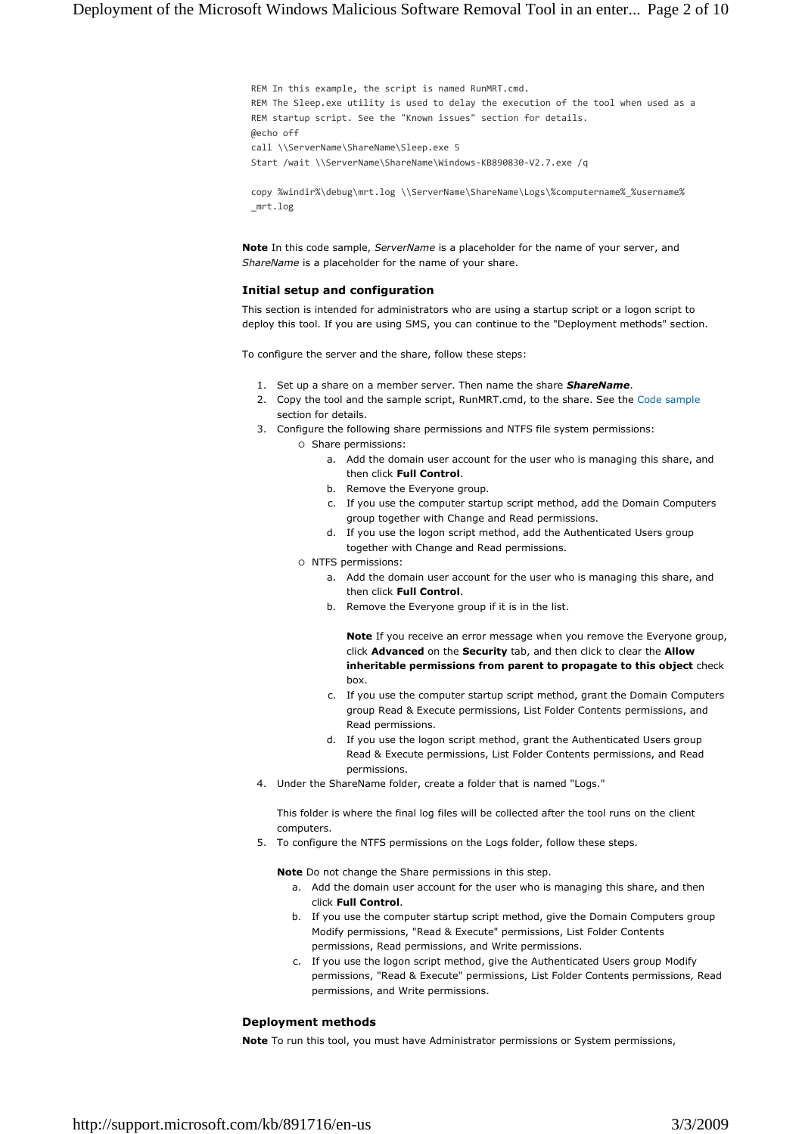REM In this example, the script is named RunMRT.cmd. REM The Sleep.exe utility is used to delay the execution of the tool when used as a REM startup script. See the "Known issues" section for details. @echo off call \\ServerName\ShareName\Sleep.exe 5 Start /wait \\ServerName\ShareName\Windows-KB890830-V2.7.exe /q

copy %windir%\debug\mrt.log \\ServerName\ShareName\Logs\%computername%\_%username% \_mrt.log

**Note** In this code sample, *ServerName* is a placeholder for the name of your server, and *ShareName* is a placeholder for the name of your share.

### **Initial setup and configuration**

This section is intended for administrators who are using a startup script or a logon script to deploy this tool. If you are using SMS, you can continue to the "Deployment methods" section.

To configure the server and the share, follow these steps:

- 1. Set up a share on a member server. Then name the share *ShareName*.
- 2. Copy the tool and the sample script, RunMRT.cmd, to the share. See the Code sample section for details.
- 3. Configure the following share permissions and NTFS file system permissions:
	- Share permissions:
		- a. Add the domain user account for the user who is managing this share, and then click **Full Control**.
		- b. Remove the Everyone group.
		- c. If you use the computer startup script method, add the Domain Computers group together with Change and Read permissions.
		- d. If you use the logon script method, add the Authenticated Users group together with Change and Read permissions.
	- NTFS permissions:
		- a. Add the domain user account for the user who is managing this share, and then click **Full Control**.
		- b. Remove the Everyone group if it is in the list.

**Note** If you receive an error message when you remove the Everyone group, click **Advanced** on the **Security** tab, and then click to clear the **Allow inheritable permissions from parent to propagate to this object** check box.

- c. If you use the computer startup script method, grant the Domain Computers group Read & Execute permissions, List Folder Contents permissions, and Read permissions.
- d. If you use the logon script method, grant the Authenticated Users group Read & Execute permissions, List Folder Contents permissions, and Read permissions.
- 4. Under the ShareName folder, create a folder that is named "Logs."

This folder is where the final log files will be collected after the tool runs on the client computers.

5. To configure the NTFS permissions on the Logs folder, follow these steps.

**Note** Do not change the Share permissions in this step.

- a. Add the domain user account for the user who is managing this share, and then click **Full Control**.
- b. If you use the computer startup script method, give the Domain Computers group Modify permissions, "Read & Execute" permissions, List Folder Contents permissions, Read permissions, and Write permissions.
- c. If you use the logon script method, give the Authenticated Users group Modify permissions, "Read & Execute" permissions, List Folder Contents permissions, Read permissions, and Write permissions.

# **Deployment methods**

**Note** To run this tool, you must have Administrator permissions or System permissions,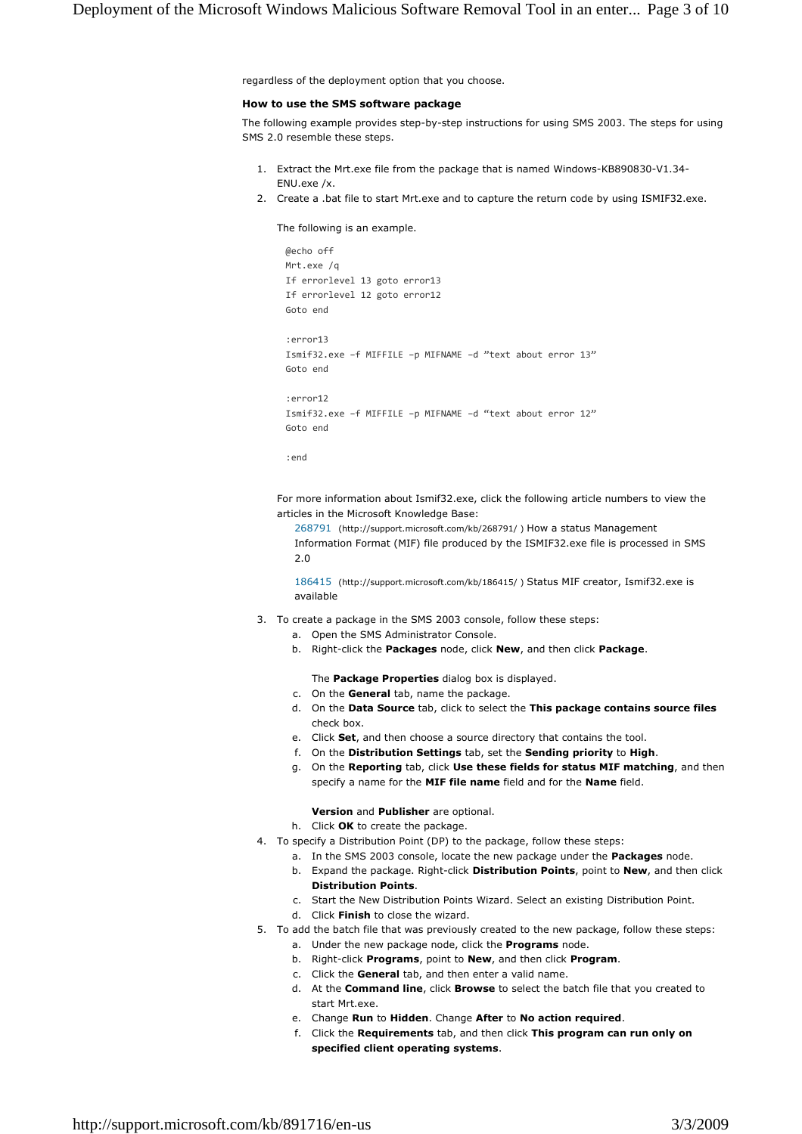regardless of the deployment option that you choose.

#### **How to use the SMS software package**

The following example provides step-by-step instructions for using SMS 2003. The steps for using SMS 2.0 resemble these steps.

- 1. Extract the Mrt.exe file from the package that is named Windows-KB890830-V1.34- ENU.exe /x.
- 2. Create a .bat file to start Mrt.exe and to capture the return code by using ISMIF32.exe.

The following is an example.

```
@echo off
Mrt.exe /q
If errorlevel 13 goto error13
If errorlevel 12 goto error12
Goto end
:error13
Ismif32.exe –f MIFFILE –p MIFNAME –d "text about error 13"
Goto end
:error12
Ismif32.exe –f MIFFILE –p MIFNAME –d "text about error 12"
Goto end
```

```
:end
```
For more information about Ismif32.exe, click the following article numbers to view the articles in the Microsoft Knowledge Base:

268791 (http://support.microsoft.com/kb/268791/ ) How a status Management Information Format (MIF) file produced by the ISMIF32.exe file is processed in SMS 2.0

186415 (http://support.microsoft.com/kb/186415/ ) Status MIF creator, Ismif32.exe is available

- 3. To create a package in the SMS 2003 console, follow these steps:
	- a. Open the SMS Administrator Console.
	- b. Right-click the **Packages** node, click **New**, and then click **Package**.

The **Package Properties** dialog box is displayed.

- c. On the **General** tab, name the package.
- d. On the **Data Source** tab, click to select the **This package contains source files** check box.
- e. Click **Set**, and then choose a source directory that contains the tool.
- f. On the **Distribution Settings** tab, set the **Sending priority** to **High**.
- g. On the **Reporting** tab, click **Use these fields for status MIF matching**, and then specify a name for the **MIF file name** field and for the **Name** field.

#### **Version** and **Publisher** are optional.

h. Click **OK** to create the package.

- 4. To specify a Distribution Point (DP) to the package, follow these steps:
	- a. In the SMS 2003 console, locate the new package under the **Packages** node.
	- b. Expand the package. Right-click **Distribution Points**, point to **New**, and then click **Distribution Points**.
	- c. Start the New Distribution Points Wizard. Select an existing Distribution Point.
	- d. Click **Finish** to close the wizard.
- 5. To add the batch file that was previously created to the new package, follow these steps:
	- a. Under the new package node, click the **Programs** node.
	- b. Right-click **Programs**, point to **New**, and then click **Program**.
	- c. Click the **General** tab, and then enter a valid name.
	- d. At the **Command line**, click **Browse** to select the batch file that you created to start Mrt.exe.
	- e. Change **Run** to **Hidden**. Change **After** to **No action required**.
	- f. Click the **Requirements** tab, and then click **This program can run only on specified client operating systems**.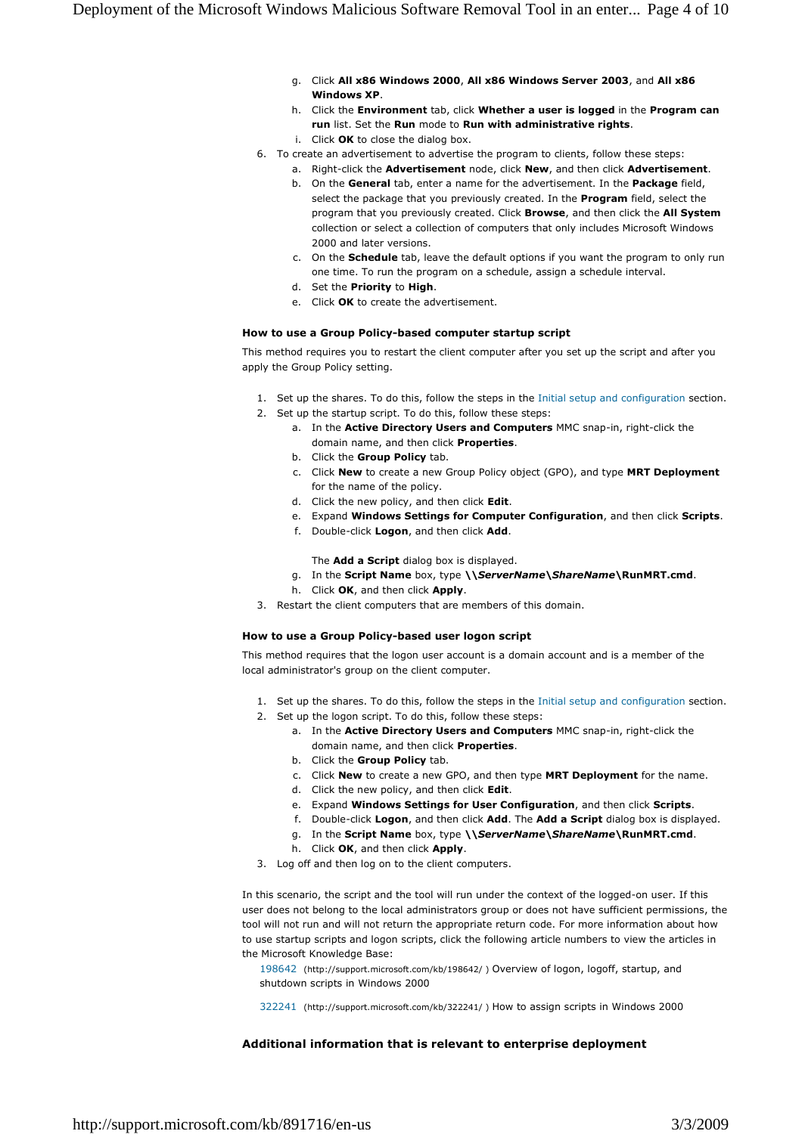- g. Click **All x86 Windows 2000**, **All x86 Windows Server 2003**, and **All x86 Windows XP**.
- h. Click the **Environment** tab, click **Whether a user is logged** in the **Program can run** list. Set the **Run** mode to **Run with administrative rights**.
- i. Click **OK** to close the dialog box.
- 6. To create an advertisement to advertise the program to clients, follow these steps:
	- a. Right-click the **Advertisement** node, click **New**, and then click **Advertisement**. b. On the **General** tab, enter a name for the advertisement. In the **Package** field,
	- select the package that you previously created. In the **Program** field, select the program that you previously created. Click **Browse**, and then click the **All System** collection or select a collection of computers that only includes Microsoft Windows 2000 and later versions.
	- c. On the **Schedule** tab, leave the default options if you want the program to only run one time. To run the program on a schedule, assign a schedule interval.
	- d. Set the **Priority** to **High**.
	- e. Click **OK** to create the advertisement.

# **How to use a Group Policy-based computer startup script**

This method requires you to restart the client computer after you set up the script and after you apply the Group Policy setting.

- 1. Set up the shares. To do this, follow the steps in the Initial setup and configuration section.
- 2. Set up the startup script. To do this, follow these steps:
	- a. In the **Active Directory Users and Computers** MMC snap-in, right-click the domain name, and then click **Properties**.
	- b. Click the **Group Policy** tab.
	- c. Click **New** to create a new Group Policy object (GPO), and type **MRT Deployment** for the name of the policy.
	- d. Click the new policy, and then click **Edit**.
	- e. Expand **Windows Settings for Computer Configuration**, and then click **Scripts**.
	- f. Double-click **Logon**, and then click **Add**.

The **Add a Script** dialog box is displayed.

- g. In the **Script Name** box, type **\\***ServerName***\***ShareName***\RunMRT.cmd**.
- h. Click **OK**, and then click **Apply**.
- 3. Restart the client computers that are members of this domain.

### **How to use a Group Policy-based user logon script**

This method requires that the logon user account is a domain account and is a member of the local administrator's group on the client computer.

- 1. Set up the shares. To do this, follow the steps in the Initial setup and configuration section.
- 2. Set up the logon script. To do this, follow these steps:
	- a. In the **Active Directory Users and Computers** MMC snap-in, right-click the domain name, and then click **Properties**.
	- b. Click the **Group Policy** tab.
	- c. Click **New** to create a new GPO, and then type **MRT Deployment** for the name.
	- d. Click the new policy, and then click **Edit**.
	- e. Expand **Windows Settings for User Configuration**, and then click **Scripts**.
	- f. Double-click **Logon**, and then click **Add**. The **Add a Script** dialog box is displayed.
	- g. In the **Script Name** box, type **\\***ServerName***\***ShareName***\RunMRT.cmd**.
	- h. Click **OK**, and then click **Apply**.
- 3. Log off and then log on to the client computers.

In this scenario, the script and the tool will run under the context of the logged-on user. If this user does not belong to the local administrators group or does not have sufficient permissions, the tool will not run and will not return the appropriate return code. For more information about how to use startup scripts and logon scripts, click the following article numbers to view the articles in the Microsoft Knowledge Base:

- 198642 (http://support.microsoft.com/kb/198642/ ) Overview of logon, logoff, startup, and shutdown scripts in Windows 2000
- 322241 (http://support.microsoft.com/kb/322241/ ) How to assign scripts in Windows 2000

# **Additional information that is relevant to enterprise deployment**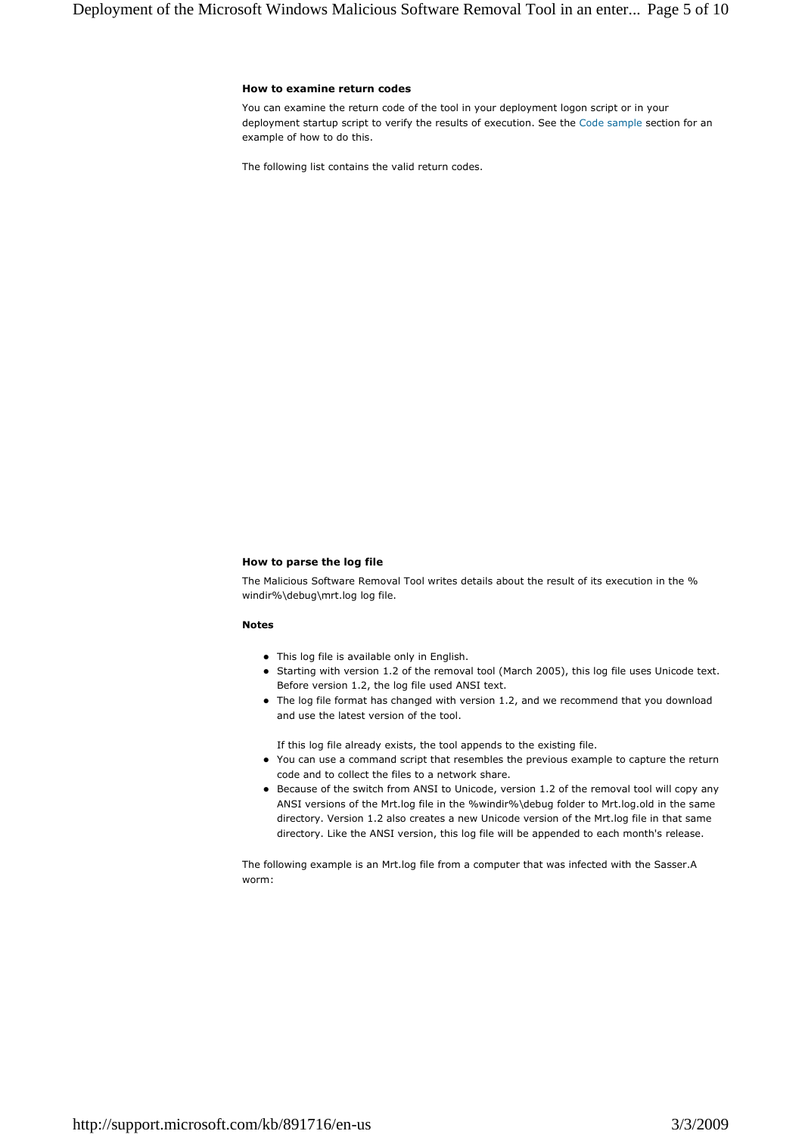#### **How to examine return codes**

You can examine the return code of the tool in your deployment logon script or in your deployment startup script to verify the results of execution. See the Code sample section for an example of how to do this.

The following list contains the valid return codes.

#### **How to parse the log file**

The Malicious Software Removal Tool writes details about the result of its execution in the % windir%\debug\mrt.log log file.

#### **Notes**

- This log file is available only in English.
- Starting with version 1.2 of the removal tool (March 2005), this log file uses Unicode text. Before version 1.2, the log file used ANSI text.
- The log file format has changed with version 1.2, and we recommend that you download and use the latest version of the tool.

If this log file already exists, the tool appends to the existing file.

- You can use a command script that resembles the previous example to capture the return code and to collect the files to a network share.
- Because of the switch from ANSI to Unicode, version 1.2 of the removal tool will copy any ANSI versions of the Mrt.log file in the %windir%\debug folder to Mrt.log.old in the same directory. Version 1.2 also creates a new Unicode version of the Mrt.log file in that same directory. Like the ANSI version, this log file will be appended to each month's release.

The following example is an Mrt.log file from a computer that was infected with the Sasser.A worm: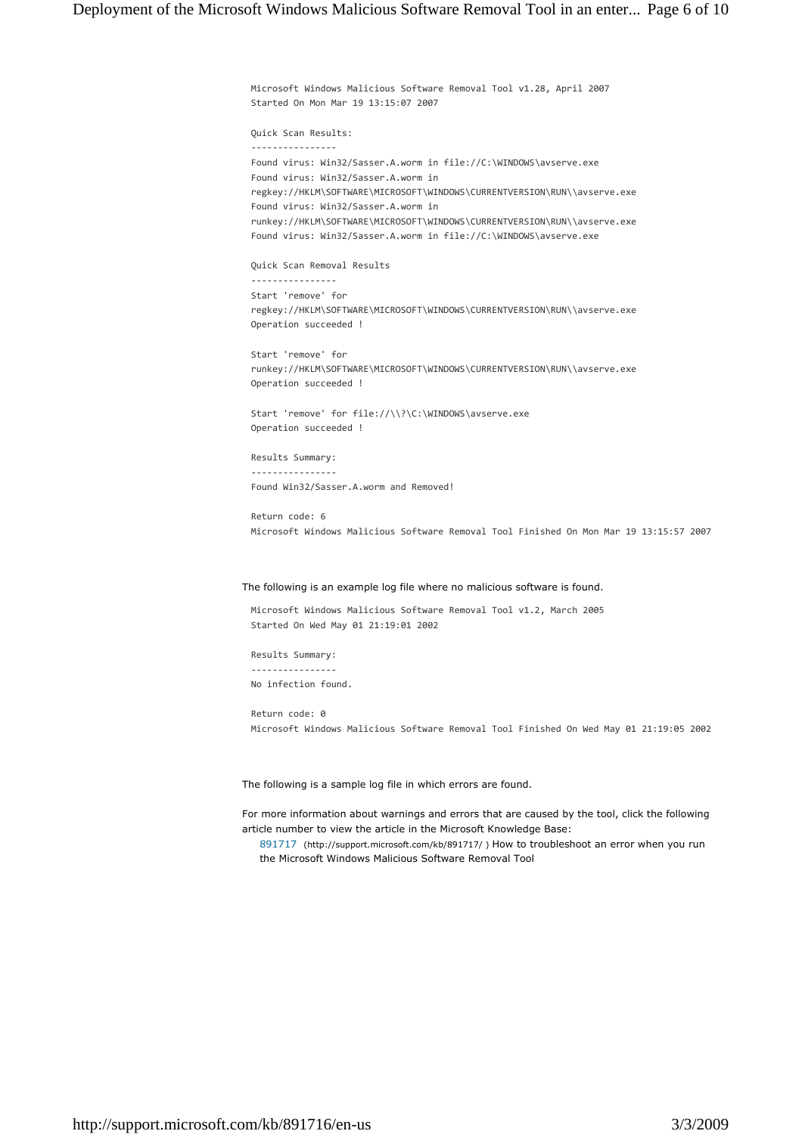Microsoft Windows Malicious Software Removal Tool v1.28, April 2007 Started On Mon Mar 19 13:15:07 2007

Quick Scan Results:

---------------- Found virus: Win32/Sasser.A.worm in file://C:\WINDOWS\avserve.exe Found virus: Win32/Sasser.A.worm in regkey://HKLM\SOFTWARE\MICROSOFT\WINDOWS\CURRENTVERSION\RUN\\avserve.exe Found virus: Win32/Sasser.A.worm in runkey://HKLM\SOFTWARE\MICROSOFT\WINDOWS\CURRENTVERSION\RUN\\avserve.exe Found virus: Win32/Sasser.A.worm in file://C:\WINDOWS\avserve.exe

Quick Scan Removal Results

---------------- Start 'remove' for regkey://HKLM\SOFTWARE\MICROSOFT\WINDOWS\CURRENTVERSION\RUN\\avserve.exe Operation succeeded !

Start 'remove' for runkey://HKLM\SOFTWARE\MICROSOFT\WINDOWS\CURRENTVERSION\RUN\\avserve.exe Operation succeeded !

Start 'remove' for file://\\?\C:\WINDOWS\avserve.exe Operation succeeded !

Results Summary:

---------------- Found Win32/Sasser.A.worm and Removed!

Return code: 6 Microsoft Windows Malicious Software Removal Tool Finished On Mon Mar 19 13:15:57 2007

### The following is an example log file where no malicious software is found.

Microsoft Windows Malicious Software Removal Tool v1.2, March 2005 Started On Wed May 01 21:19:01 2002

Results Summary: ---------------- No infection found.

Return code: 0 Microsoft Windows Malicious Software Removal Tool Finished On Wed May 01 21:19:05 2002

The following is a sample log file in which errors are found.

For more information about warnings and errors that are caused by the tool, click the following article number to view the article in the Microsoft Knowledge Base:

891717 (http://support.microsoft.com/kb/891717/ ) How to troubleshoot an error when you run the Microsoft Windows Malicious Software Removal Tool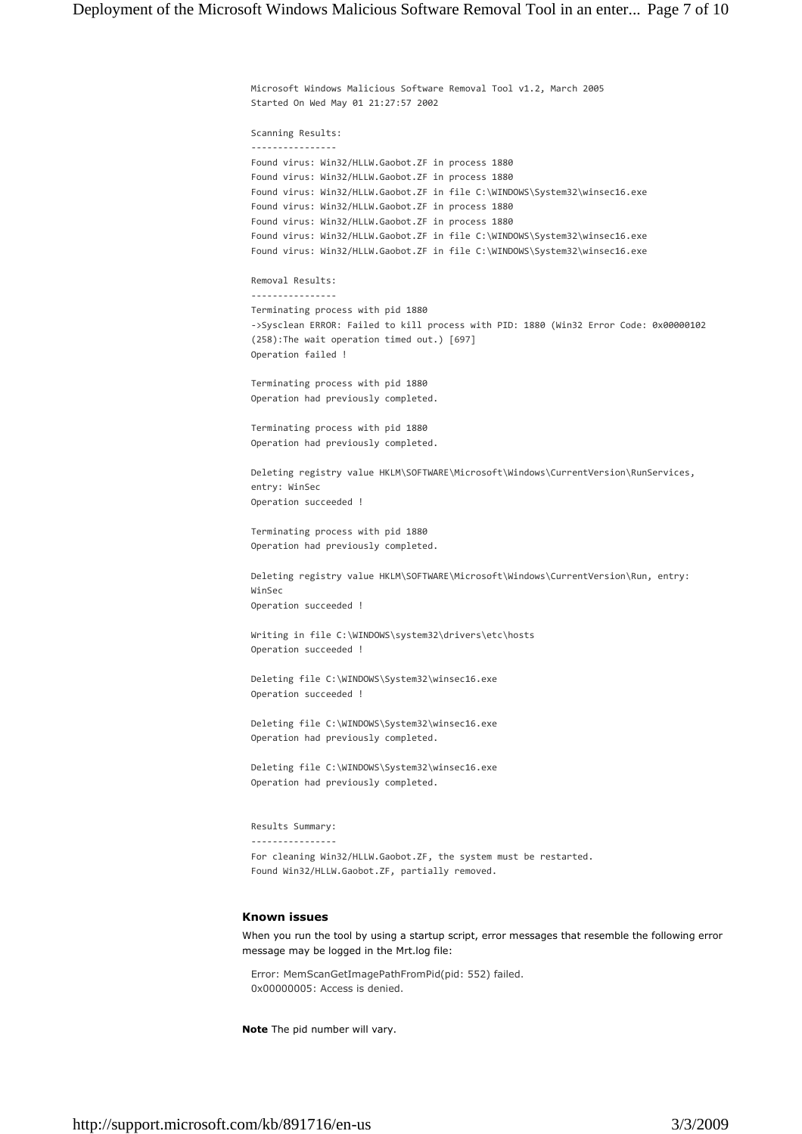Microsoft Windows Malicious Software Removal Tool v1.2, March 2005 Started On Wed May 01 21:27:57 2002 Scanning Results: ---------------- Found virus: Win32/HLLW.Gaobot.ZF in process 1880 Found virus: Win32/HLLW.Gaobot.ZF in process 1880 Found virus: Win32/HLLW.Gaobot.ZF in file C:\WINDOWS\System32\winsec16.exe Found virus: Win32/HLLW.Gaobot.ZF in process 1880 Found virus: Win32/HLLW.Gaobot.ZF in process 1880 Found virus: Win32/HLLW.Gaobot.ZF in file C:\WINDOWS\System32\winsec16.exe Found virus: Win32/HLLW.Gaobot.ZF in file C:\WINDOWS\System32\winsec16.exe Removal Results: ---------------- Terminating process with pid 1880

->Sysclean ERROR: Failed to kill process with PID: 1880 (Win32 Error Code: 0x00000102 (258):The wait operation timed out.) [697] Operation failed !

Terminating process with pid 1880 Operation had previously completed.

Terminating process with pid 1880 Operation had previously completed.

Deleting registry value HKLM\SOFTWARE\Microsoft\Windows\CurrentVersion\RunServices, entry: WinSec Operation succeeded !

Terminating process with pid 1880 Operation had previously completed.

Deleting registry value HKLM\SOFTWARE\Microsoft\Windows\CurrentVersion\Run, entry: WinSec Operation succeeded !

Writing in file C:\WINDOWS\system32\drivers\etc\hosts Operation succeeded !

Deleting file C:\WINDOWS\System32\winsec16.exe Operation succeeded !

Deleting file C:\WINDOWS\System32\winsec16.exe Operation had previously completed.

Deleting file C:\WINDOWS\System32\winsec16.exe Operation had previously completed.

#### Results Summary: ----------------

For cleaning Win32/HLLW.Gaobot.ZF, the system must be restarted. Found Win32/HLLW.Gaobot.ZF, partially removed.

#### **Known issues**

When you run the tool by using a startup script, error messages that resemble the following error message may be logged in the Mrt.log file:

Error: MemScanGetImagePathFromPid(pid: 552) failed. 0x00000005: Access is denied.

**Note** The pid number will vary.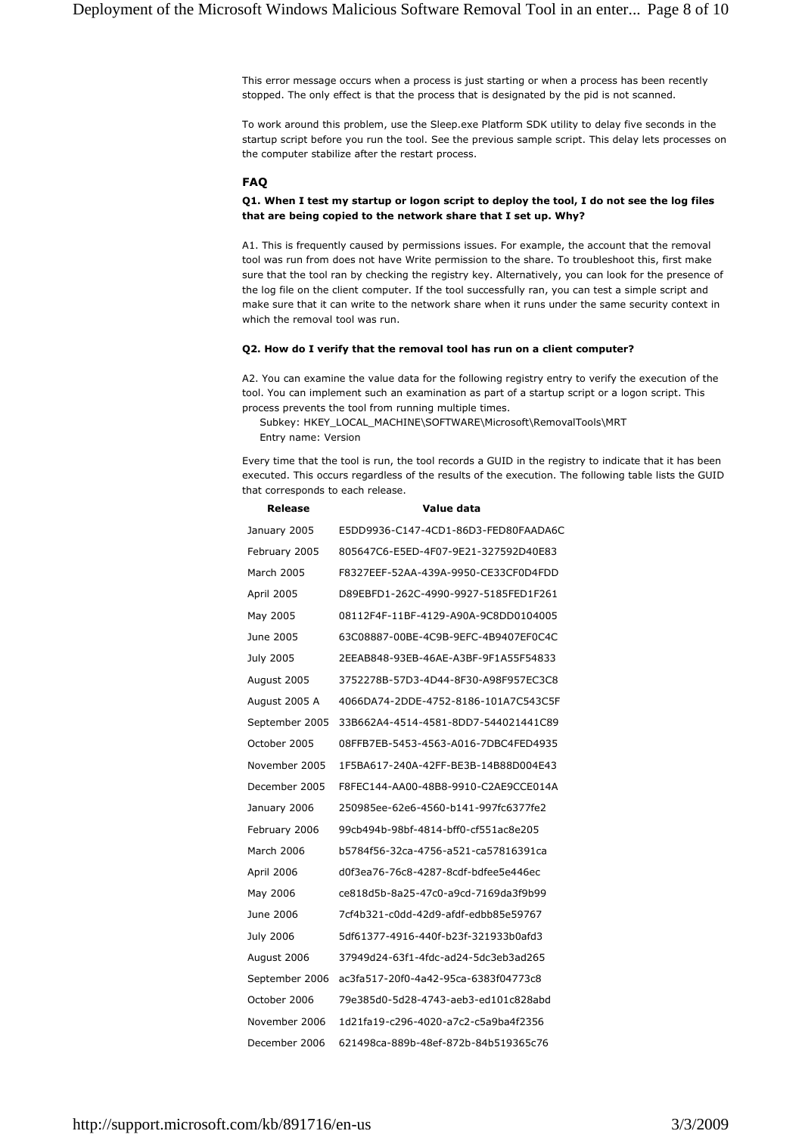This error message occurs when a process is just starting or when a process has been recently stopped. The only effect is that the process that is designated by the pid is not scanned.

To work around this problem, use the Sleep.exe Platform SDK utility to delay five seconds in the startup script before you run the tool. See the previous sample script. This delay lets processes on the computer stabilize after the restart process.

#### **FAQ**

# **Q1. When I test my startup or logon script to deploy the tool, I do not see the log files that are being copied to the network share that I set up. Why?**

A1. This is frequently caused by permissions issues. For example, the account that the removal tool was run from does not have Write permission to the share. To troubleshoot this, first make sure that the tool ran by checking the registry key. Alternatively, you can look for the presence of the log file on the client computer. If the tool successfully ran, you can test a simple script and make sure that it can write to the network share when it runs under the same security context in which the removal tool was run.

### **Q2. How do I verify that the removal tool has run on a client computer?**

A2. You can examine the value data for the following registry entry to verify the execution of the tool. You can implement such an examination as part of a startup script or a logon script. This process prevents the tool from running multiple times.

Subkey: HKEY\_LOCAL\_MACHINE\SOFTWARE\Microsoft\RemovalTools\MRT Entry name: Version

Every time that the tool is run, the tool records a GUID in the registry to indicate that it has been executed. This occurs regardless of the results of the execution. The following table lists the GUID that corresponds to each release.

| Release        | Value data                           |
|----------------|--------------------------------------|
| January 2005   | E5DD9936-C147-4CD1-86D3-FED80FAADA6C |
| February 2005  | 805647C6-E5ED-4F07-9E21-327592D40E83 |
| March 2005     | F8327EEF-52AA-439A-9950-CE33CF0D4FDD |
| April 2005     | D89EBFD1-262C-4990-9927-5185FED1F261 |
| May 2005       | 08112F4F-11BF-4129-A90A-9C8DD0104005 |
| June 2005      | 63C08887-00BE-4C9B-9EFC-4B9407EF0C4C |
| July 2005      | 2EEAB848-93EB-46AE-A3BF-9F1A55F54833 |
| August 2005    | 3752278B-57D3-4D44-8F30-A98F957EC3C8 |
| August 2005 A  | 4066DA74-2DDE-4752-8186-101A7C543C5F |
| September 2005 | 33B662A4-4514-4581-8DD7-544021441C89 |
| October 2005   | 08FFB7EB-5453-4563-A016-7DBC4FED4935 |
| November 2005  | 1F5BA617-240A-42FF-BE3B-14B88D004E43 |
| December 2005  | F8FEC144-AA00-48B8-9910-C2AE9CCE014A |
| January 2006   | 250985ee-62e6-4560-b141-997fc6377fe2 |
| February 2006  | 99cb494b-98bf-4814-bff0-cf551ac8e205 |
| March 2006     | b5784f56-32ca-4756-a521-ca57816391ca |
| April 2006     | d0f3ea76-76c8-4287-8cdf-bdfee5e446ec |
| May 2006       | ce818d5b-8a25-47c0-a9cd-7169da3f9b99 |
| June 2006      | 7cf4b321-c0dd-42d9-afdf-edbb85e59767 |
| July 2006      | 5df61377-4916-440f-b23f-321933b0afd3 |
| August 2006    | 37949d24-63f1-4fdc-ad24-5dc3eb3ad265 |
| September 2006 | ac3fa517-20f0-4a42-95ca-6383f04773c8 |
| October 2006   | 79e385d0-5d28-4743-aeb3-ed101c828abd |
| November 2006  | 1d21fa19-c296-4020-a7c2-c5a9ba4f2356 |
| December 2006  | 621498ca-889b-48ef-872b-84b519365c76 |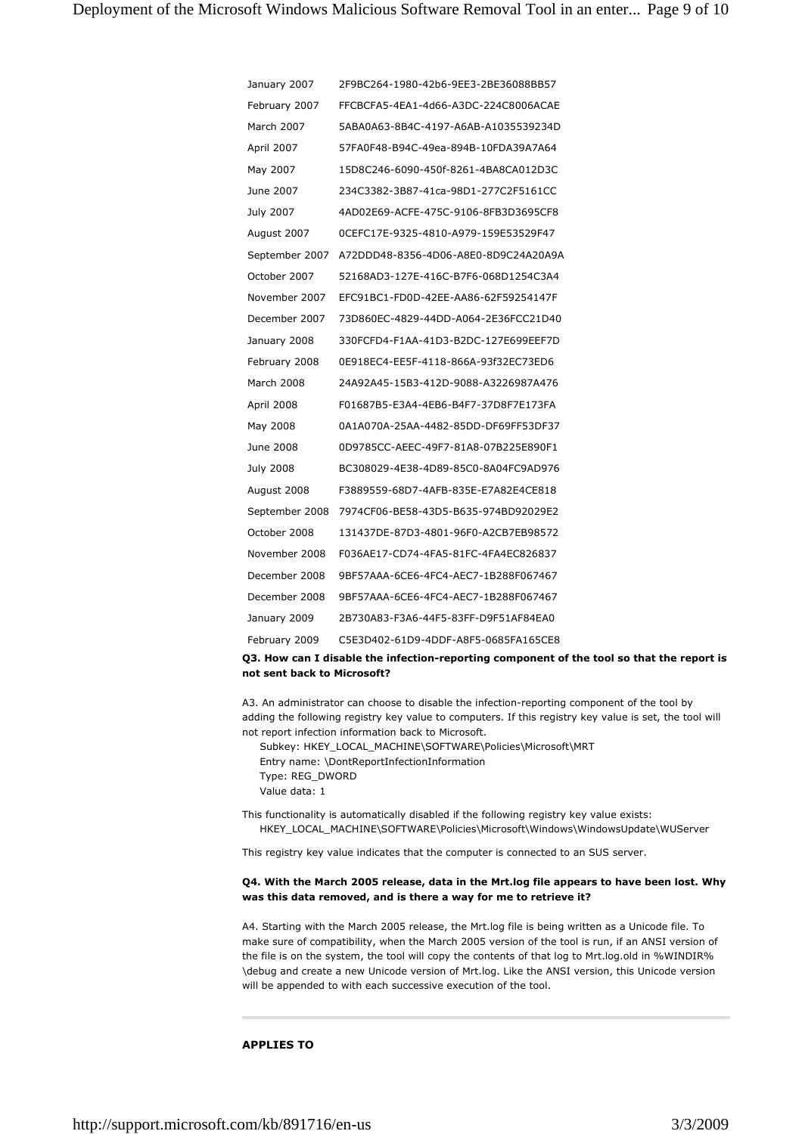| January 2007     | 2F9BC264-1980-42b6-9EE3-2BE36088BB57 |
|------------------|--------------------------------------|
| February 2007    | FFCBCFA5-4EA1-4d66-A3DC-224C8006ACAE |
| March 2007       | 5ABA0A63-8B4C-4197-A6AB-A1035539234D |
| April 2007       | 57FA0F48-B94C-49ea-894B-10FDA39A7A64 |
| May 2007         | 15D8C246-6090-450f-8261-4BA8CA012D3C |
| June 2007        | 234C3382-3B87-41ca-98D1-277C2F5161CC |
| July 2007        | 4AD02E69-ACFE-475C-9106-8FB3D3695CF8 |
| August 2007      | 0CEFC17E-9325-4810-A979-159E53529F47 |
| September 2007   | A72DDD48-8356-4D06-A8E0-8D9C24A20A9A |
| October 2007     | 52168AD3-127E-416C-B7F6-068D1254C3A4 |
| November 2007    | EFC91BC1-FD0D-42EE-AA86-62F59254147F |
| December 2007    | 73D860EC-4829-44DD-A064-2E36FCC21D40 |
| January 2008     | 330FCFD4-F1AA-41D3-B2DC-127E699EEF7D |
| February 2008    | 0E918EC4-EE5F-4118-866A-93f32EC73ED6 |
| March 2008       | 24A92A45-15B3-412D-9088-A3226987A476 |
| April 2008       | F01687B5-E3A4-4EB6-B4F7-37D8F7E173FA |
| May 2008         | 0A1A070A-25AA-4482-85DD-DF69FF53DF37 |
| June 2008        | 0D9785CC-AEEC-49F7-81A8-07B225E890F1 |
| <b>July 2008</b> | BC308029-4E38-4D89-85C0-8A04FC9AD976 |
| August 2008      | F3889559-68D7-4AFB-835E-E7A82E4CE818 |
| September 2008   | 7974CF06-BE58-43D5-B635-974BD92029E2 |
| October 2008     | 131437DE-87D3-4801-96F0-A2CB7EB98572 |
| November 2008    | F036AE17-CD74-4FA5-81FC-4FA4EC826837 |
| December 2008    | 9BF57AAA-6CE6-4FC4-AEC7-1B288F067467 |
| December 2008    | 9BF57AAA-6CE6-4FC4-AEC7-1B288F067467 |
| January 2009     | 2B730A83-F3A6-44F5-83FF-D9F51AF84EA0 |
| February 2009    | C5E3D402-61D9-4DDF-A8F5-0685FA165CE8 |
|                  |                                      |

# **Q3. How can I disable the infection-reporting component of the tool so that the report is not sent back to Microsoft?**

A3. An administrator can choose to disable the infection-reporting component of the tool by adding the following registry key value to computers. If this registry key value is set, the tool will not report infection information back to Microsoft.

Subkey: HKEY\_LOCAL\_MACHINE\SOFTWARE\Policies\Microsoft\MRT Entry name: \DontReportInfectionInformation

Type: REG\_DWORD Value data: 1

This functionality is automatically disabled if the following registry key value exists: HKEY\_LOCAL\_MACHINE\SOFTWARE\Policies\Microsoft\Windows\WindowsUpdate\WUServer

This registry key value indicates that the computer is connected to an SUS server.

# **Q4. With the March 2005 release, data in the Mrt.log file appears to have been lost. Why was this data removed, and is there a way for me to retrieve it?**

A4. Starting with the March 2005 release, the Mrt.log file is being written as a Unicode file. To make sure of compatibility, when the March 2005 version of the tool is run, if an ANSI version of the file is on the system, the tool will copy the contents of that log to Mrt.log.old in %WINDIR% \debug and create a new Unicode version of Mrt.log. Like the ANSI version, this Unicode version will be appended to with each successive execution of the tool.

### **APPLIES TO**